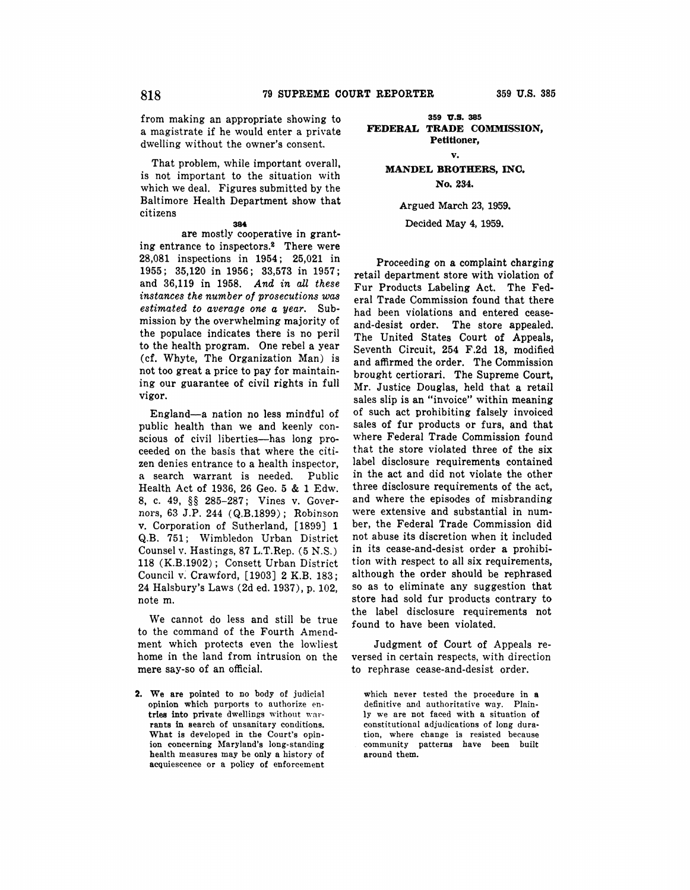from making an appropriate showing to a magistrate if he would enter a private dwelling without the owner's consent.

That problem, while important overall, is not important to the situation with which we deal. Figures submitted by the Baltimore Health Department show that citizens

#### **384**

are mostly cooperative in granting entrance to inspectors.<sup>2</sup> There were 28,081 inspections in 1954; 25,021 in 1955; 35,120 in 1956; 33,573 in 1957; and 36,119 in 1958. *And in all these instances the number of prosecutions was estimated to average one a year.* Submission by the overwhelming majority of the populace indicates there is no peril to the health program. One rebel a year (cf. Whyte, The Organization Man) is not too great a price to pay for maintaining our guarantee of civil rights in full vigor.

England-a nation no less mindful of public health than we and keenly conscious of civil liberties-has long proceeded on the basis that where the citizen denies entrance to a health inspector, a search warrant is needed. Public Health Act of 1936, 26 Geo. 5 & 1 Edw. 8, c. 49, §§ 285-287; Vines v. Governors, 63 J.P. 244 ( Q.B.1899); Robinson **v.** Corporation of Sutherland, [1899] 1 Q.B. 751; Wimbledon Urban District Counsel v. Hastings, 87 L.T.Rep. (5 N.S.) 118 (K.B.1902); Consett Urban District Council v. Crawford, [1903] 2 K.B. 183; 24 Halsbury's Laws (2d ed. 1937), p. 102, note m.

We cannot do less and still be true to the command of the Fourth Amendment which protects even the lowliest home in the land from intrusion on the mere say-so of an official.

**2. We are** pointed to no body of judicial opinion which purports to authorize en**tries into** private dwellings without war**rants** in search of unsanitary conditions. What is developed in the Court's opinion concerning Maryland's long-standing health measures may be only a history of acquiescence or a policy of enforcement

## **359 'U.S. 385 FEDERAL TRADE COMMISSION, Petitioner,**

**v.** 

**MANDEL BROTHERS, INC. No. 234.** 

Argued March 23, 1959.

Decided **May 4,** 1959.

Proceeding on a complaint **charging**  retail department store with violation of Fur Products Labeling Act. The Federal Trade Commission found that there had been violations and entered ceaseand-desist order. The store appealed. The United States Court of Appeals, Seventh Circuit, 254 F.2d 18, modified and affirmed the order. The Commission brought certiorari. The Supreme Court, Mr. Justice Douglas, held that a retail sales slip is an "invoice" within meaning of such act prohibiting falsely invoiced sales of fur products or furs, and that where Federal Trade Commission found that the store violated three of the six label disclosure requirements contained in the act and did not violate the other three disclosure requirements of the act, and where the episodes of misbranding were extensive and substantial in number, the Federal Trade Commission did not abuse its discretion when it included in its cease-and-desist order a prohibition with respect to all six requirements, although the order should be rephrased so as to eliminate any suggestion that store had sold fur products contrary to the label disclosure requirements not found to have been violated.

Judgment of Court of Appeals reversed in certain respects, with direction to rephrase cease-and-desist order.

which never tested the procedure in a definitive and authoritative way. Plainly we are not faced with a situation of constitutional adjudications of long duration, where change is resisted because community patterns have been built around them.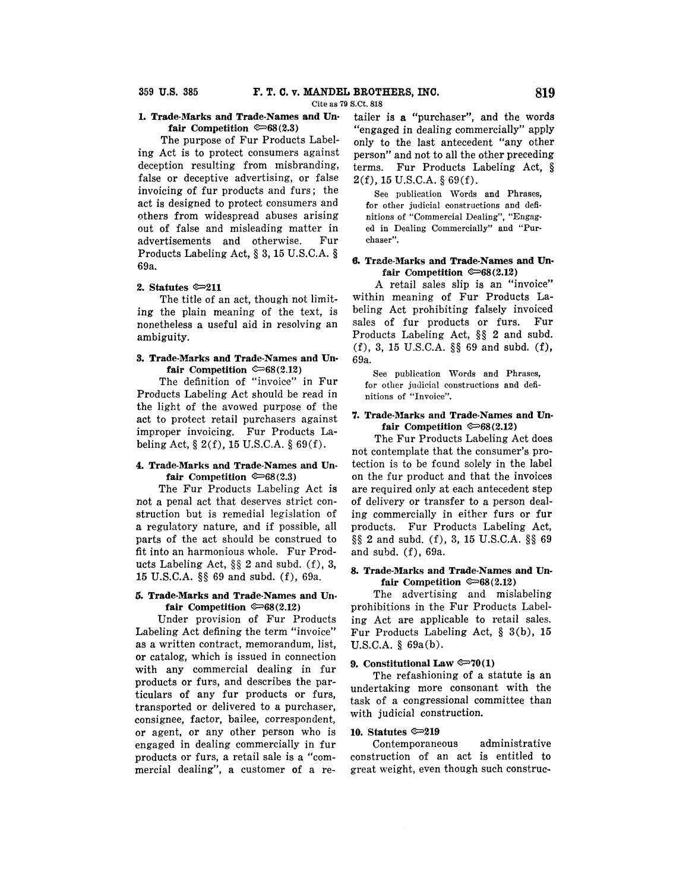Cite as 79 S.Ct. 818

## **L Trade-Marks and Trade-Names and Un**fair Competition  $\mathfrak{S}(2.3)$

The purpose of Fur Products Labeling Act is to protect consumers against deception resulting from misbranding, false or deceptive advertising, or false invoicing of fur products and furs; the act is designed to protect consumers and others from widespread abuses arising out of false and misleading matter in advertisements and otherwise. Fur Products Labeling Act, § 3, 15 U.S.C.A. § 69a.

#### **2. Statutes**  $\infty$ **211**

The title of an act, though not limiting the plain meaning of the text, is nonetheless a useful aid in resolving an ambiguity.

## **3. Trade-Marks and Trade-Names and Un**fair Competition  $\mathcal{F}68(2.12)$

The definition of "invoice" in Fur Products Labeling Act should be read in the light of the avowed purpose of the act to protect retail purchasers against improper invoicing. Fur Products Labeling Act,  $\S 2(f)$ , 15 U.S.C.A.  $\S 69(f)$ .

## **4. Trade-Marks and Trade-Names and Un**fair Competition  $\mathfrak{S}(2.3)$

The Fur Products Labeling Act **is**  not a penal act that deserves strict construction but is remedial legislation of **a** regulatory nature, and if possible, all parts of the act should be construed to fit into an harmonious whole. Fur Products Labeling Act, §§ 2 and subd. (f), **3,**  15 U.S.C.A. §§ 69 and subd. (f), 69a.

## **5. Trade-Marks and Trade-Names and Un** $fair$  Competition  $\mathcal{Q} = 68(2.12)$

Under provision of Fur Products Labeling Act defining the term "invoice" **as a** written contract, memorandum, list, **or** catalog, which is issued in connection with any commercial dealing in fur products or furs, and describes the particulars of any fur products or furs, transported or delivered to a purchaser, consignee, factor, bailee, correspondent, or agent, or any other person who is engaged in dealing commercially in fur products or furs, a retail sale is a "commercial dealing", a customer of a re-

tailer is **a** "purchaser", and the words "engaged in dealing commercially" apply only to the last antecedent "any other person" and not to all the other preceding terms. Fur Products Labeling Act, §  $2(f)$ , 15 U.S.C.A. § 69(f).

See publication Words and Phrases, for other judicial constructions and definitions of "Commercial Dealing", "Engaged in Dealing Commercially" and "Purchaser".

#### **8,** Trade-Marks and Trade-Names and Un $fair$  Competition  $\infty$ 68(2.12)

A retail sales slip is an "invoice" within meaning of Fur Products Labeling Act prohibiting falsely invoiced sales of fur products or furs. Fur Products Labeling Act, §§ 2 and subd. (f), 3, 15 U.S.C.A. §§ 69 and subd. (f), 69a.

See publication Words and Phrases, for other judicial constructions and definitions of "Invoice".

## "/. **Trade-Marks and Trade-Names and Unfair Competition**  $\mathcal{F}$ 68(2.12)

The Fur Products Labeling Act does not contemplate that the consumer's protection is to be found solely in the label on the fur product and that the invoices are required only at each antecedent step of delivery or transfer to a person dealing commercially in either furs or fur products. Fur Products Labeling Act, §§ 2 and subd. (f), 3, 15 U.S.C.A. §§ 69 and subd. (f), 69a.

## **8, Trade-Marks and Trade-Names and Un**fair Competition  $\infty$ 68(2.12)

The advertising and mislabeling prohibitions in the Fur Products Labeling Act are applicable to retail sales. Fur Products Labeling Act, § 3(b), 15 U.S.C.A. § 69a(b).

# 9. Constitutional Law  $\mathbb{R}^{70}(1)$

The refashioning of a statute **is an**  undertaking more consonant with the task of a congressional committee than with judicial construction.

# 10. Statutes  $\infty$ 219

Contemporaneous administrative construction of an act is entitled to great weight, even though such construe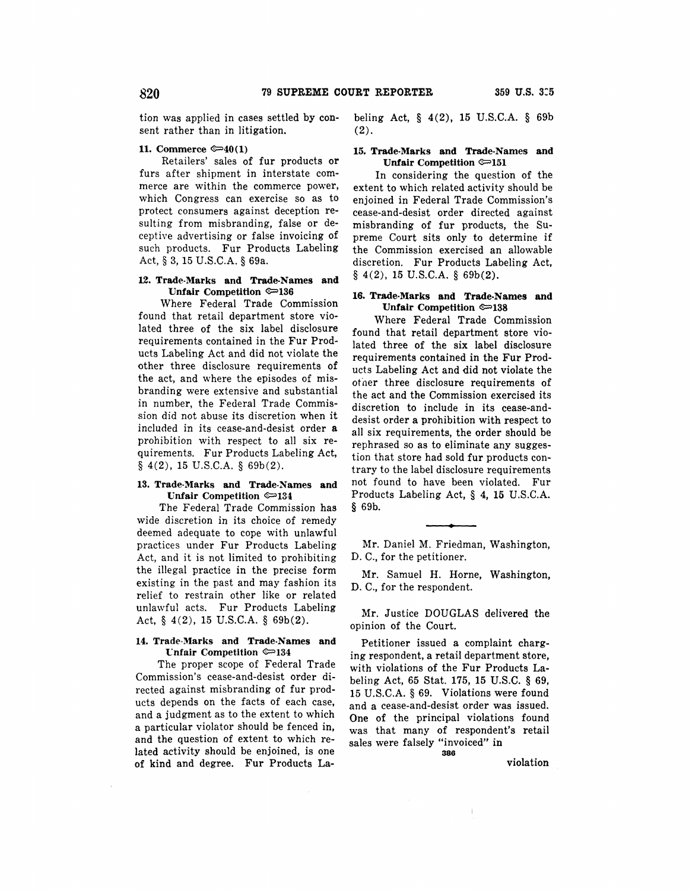tion was applied in cases settled by consent rather than in litigation.

## **11. Commerce ®=>40(1)**

Retailers' sales of fur products **or**  furs after shipment in interstate commerce are within the commerce power, which Congress can exercise so as to protect consumers against deception resulting from misbranding, false or deceptive advertising or false invoicing of such products. Fur Products Labeling Act,§ 3, 15 U.S.C.A. § 69a.

#### **12. Trade-Marks and Trade-Names and Unfair Competition ®=>136**

Where Federal Trade Commission found that retail department store violated three of the six label disclosure requirements contained in the Fur Products Labeling Act and did not violate the other three disclosure requirements of the act, and where the episodes of misbranding were extensive and substantial in number, the Federal Trade Commission did not abuse its discretion when it included in its cease-and-desist order **a**  prohibition with respect to all six requirements. Fur Products Labeling Act,  $§$  4(2), 15 U.S.C.A, § 69b(2).

## **13. Trade-Marks and Trade-Names and Unfair Competition ®=>134**

The Federal Trade Commission has wide discretion in its choice of remedy deemed adequate to cope with unlawful practices under Fur Products Labeling Act, and it is not limited to prohibiting the illegal practice in the precise form existing in the past and may fashion its relief to restrain other like or related unlawful acts. Fur Products Labeling Act, § 4(2), 15 U.S.C.A. § 69b(2).

#### **14. Trade-Marks and Trade-Names and t:nfair Competition ®=>134**

The proper scope of Federal Trade Commission's cease-and-desist order directed against misbranding of fur products depends on the facts of each case, and a judgment as to the extent to which a particular violator should be fenced in, and the question of extent to which related activity should be enjoined, is one of kind and degree. Fur Products Labeling Act, § 4(2), 15 U.S.C.A. § 69b (2).

#### **15. Trade-Marks and Trade-Names and Unfair Competition ®=>151**

In considering the question of the extent to which related activity should be enjoined in Federal Trade Commission's cease-and-desist order directed against misbranding of fur products, the Supreme Court sits only to determine if the Commission exercised an allowable discretion. Fur Products Labeling Act,  $§$  4(2), 15 U.S.C.A. § 69b(2).

## **16. Trade-Marks and Trade-Names and Unfair Competition ®=>138**

Where Federal Trade Commission found that retail department store violated three of the six label disclosure requirements contained in the Fur Products Labeling Act and did not violate the ofoer three disclosure requirements of the act and the Commission exercised its discretion to include in its cease-anddesist order a prohibition with respect to all six requirements, the order should be rephrased so as to eliminate any suggestion that store had sold fur products contrary to the label disclosure requirements not found to have been violated. Fur Products Labeling Act, § **4, 15** U.S.C.A. § 69b.

**Mr.** Daniel M. Friedman, Washington, D. C., for the petitioner.

Mr. Samuel H. Horne, Washington, D. C., for the respondent.

Mr. Justice DOUGLAS delivered the opinion of the Court.

Petitioner issued a complaint charging respondent, a retail department store, with violations of the Fur Products Labeling Act, 65 Stat. 175, 15 U.S.C. § 69, 15 U.S.C.A. § 69. Violations were found and a cease-and-desist order was issued. One of the principal violations found was that many of respondent's retail sales were falsely "invoiced" in

**388** 

violation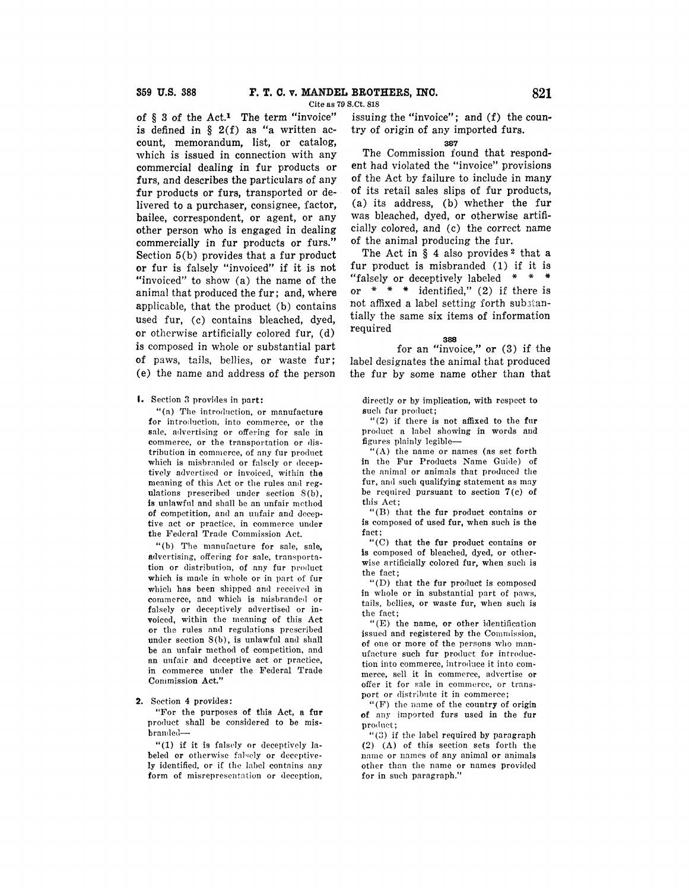Cite as 79 S.Ct. 818

of § 3 of the Act.<sup>1</sup> The term "invoice" is defined in  $\S$  2(f) as "a written account, memorandum, list, or catalog, which is issued in connection with any commercial dealing in fur products or furs, and describes the particulars of any fur products or furs, transported or delivered to a purchaser, consignee, factor, bailee, correspondent, or agent, or any other person who is engaged in dealing commercially in fur products or furs." Section 5(b) provides that a fur product or fur is falsely "invoiced" if it is not "invoiced" to show (a) the name of the animal that produced the fur; and, where applicable, that the product (b) contains used fur, (c) contains bleached, dyed, or otherwise artificially colored fur, (d) is composed in whole or substantial part of paws, tails, bellies, or waste fur; (e) the name and address of the person

#### I. Section 3 provides in part:

"(a) The introduction, or manufacture for introduction, into commerce, or the sale, advertising or offering for sale in commerce, or the transportation or distribution in commerce, of any fur product which is misbranded or falsely or deceptively advertised or invoiced, within **the**  meaning of this Act or the rules and regulations prescribed under section S(b), is unlawful and shall be an unfair method **of** competition, and an uufair and deceptive act or practice, in commerce under the Federal Trade Commission Act.

"(b) The manufacture for sale, sale, advertising, offering for sale, transportation or distribution, of any fur product which is made in whole or in part of fur which has been shipped and received in commerce, and which is misbranded or falsely or deceptively advertised or invoiced, within the meaning of this Act or the rules and regulations prescribed under section  $S(b)$ , is unlawful and shall be an unfair method of competition, and an unfair and deceptive act or practice, in commerce under the Federal Trade Commission Act."

#### **2.** Section 4 provides:

"For the purposes of this Act, **a fur**  product shall be considered to be misbran<le<l-

"(1) if it is falsely or deceptively labeled **or** otherwise falsely or deceptive**ly** identified, or if the label contains any form of misrepresentation or deception,

issuing the "invoice"; and (f) the country of origin of any imported furs.

#### as7

The Commission found that respondent had violated the "invoice" provisions of the Act by failure to include in many of its retail sales slips of fur products, (a) its address, (b) whether the fur was bleached, dyed, or otherwise artificially colored, and (c) the correct name of the animal producing the fur.

The Act in  $\S$  4 also provides  $2$  that a fur product is misbranded (1) if it is "falsely or deceptively labeled \* \* \* or  $* * *$  identified," (2) if there is not affixed a label setting forth substantially the same six items of information required **<sup>388</sup>**

for an "invoice," or (3) if the label designates the animal that produced the fur by some name other than that

directly or by implication, witb respect to such fur product;

"(2) if there is not affixed to the fur product a label showing in words and figures plainly legible-

"(A) the name or names (as set forth in the Fur Products Name Guide) of the animal or animals that produced the fur, and such qualifying statement as may be required pursuant to section  $7(c)$  of this Act;

"(B) that the fur product contains or is composed of used fur, when such is the fact;

"(C) that the fur product contains or is composed of bleached, dyed, or otherwise artificially colored fur, when such is the fact;

"(D) that the fur product is composed in whole or in substantial part of paws, tails, bellies, or waste fur, when such is the fact;

"(E) the name, **or** other identification issued and registered by the Commission. of one or more of the persons who manufacture such fur product for introduction into commerce, introduce it into commerce, sell it in commerce, advertise **or**  offer it for sale in commerce, or transport or distribute it in commerce;

"(F) the name of the country of origin **of** any imported furs used in the fur product:

"(3) if the label required by paragraph (2) (A) of this section sets forth the name or names of any animal or animals other than the name or names provided for in such paragraph."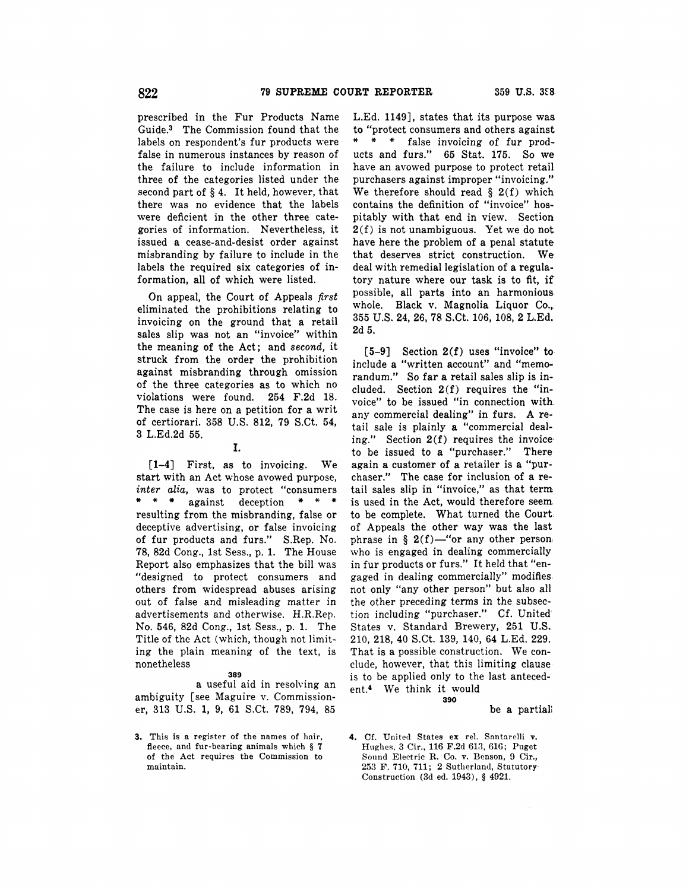prescribed in the Fur Products Name Guide.3 The Commission found that the labels on respondent's fur products were false in numerous instances by reason of the failure to include information in three of the categories listed under the second part of § 4. It held, however, that there was no evidence that the labels were deficient in the other three categories of information. Nevertheless, it issued **a** cease-and-desist order against misbranding by failure to include in the labels the required six categories of information, all of which were listed.

On appeal, the Court of Appeals *first*  eliminated the prohibitions relating to invoicing on the ground that a retail sales slip was not an "invoice" within the meaning of the Act; and *second,* it struck from the order the prohibition against misbranding through omission of the three categories as to which no violations were found. 254 F.2d 18. The case is here on a petition for a writ of certiorari. 358 U.S. 812, 79 S.Ct. 54, 3 L.Ed.2d 55.

#### I.

[1-4] First, as to invoicing. We start with an Act whose avowed purpose, *inter alia,* was to protect "consumers \* \* \* against deception \* \* \* resulting from the misbranding, false or deceptive advertising, or false invoicing of fur products and furs." S.Rep. No. 78, 82d Cong., 1st Sess., p. 1. The House Report also emphasizes that the bill was "designed to protect consumers and others from widespread abuses arising out of false and misleading matter in advertisements and otherwise. H.R.Rep. No. 546, 82d Cong., 1st Sess., p. **1.** The Title of the Act (which, though not limiting the plain meaning of the text, is nonetheless

# **389**

**a** useful aid in resolving an ambiguity [see Maguire v. Commissioner, 313 U.S. 1, 9, 61 S.Ct. 789, 794, 85

**3.** This is a register of the names of hnir, fleece, and fur-bearing animals which § 7 of the Act requires the Commission to ma'intain.

L.Ed. 1149], states that its purpose was to "protect consumers and others against \* \* \* false invoicing of fur products and furs." 65 Stat. 175. So we have an avowed purpose to protect retail purchasers against improper "invoicing." We therefore should read  $\S$  2(f) which contains the definition of "invoice" hospitably with that end in view. Section 2(f) is not unambiguous. Yet we do not have here the problem of a penal statute that deserves strict construction. We deal with remedial legislation of a regulatory nature where our task is to fit, if possible, all parts into an harmonious. whole. Black v. Magnolia Liquor Co., 355 U.S. **24, 26, 78** S.Ct. 106, 108, 2 L.Ed. 2d 5.

[5-9] Section 2(f) uses "invoice" toinclude a "written account" and "memorandum." So far a retail sales slip is included. Section 2(f) requires the "invoice" to be issued "in connection with. any commercial dealing" in furs. A retail sale is plainly **a** "commercial dealing." Section  $2(f)$  requires the invoice to be issued to a "purchaser." There again a customer of a retailer is a "purchaser." The case for inclusion of a retail sales slip in "invoice," as that term is used in the Act, would therefore seem. to be complete. What turned the Court of Appeals the other way was the last phrase in § 2(f)-"or any other person who is engaged in dealing commercially in fur products or furs." It held that "engaged in dealing commercially" modifies. not only "any other person" but also all the other preceding terms in the subsection including "purchaser." Cf. United· States v. Standard Brewery, 251 U.S. 210, 218, 40 S.Ct. 139, 140, 64 L.Ed. 229. That is a possible construction. We conclude, however, that this limiting clause is to be applied only to the last antecedent.• We think it would **390** 

#### be a partiali

4. Cf. United States ex rel. Santarelli v. Hughes, 3 Cir., 116 F.2d 613, 616; Puget Sound Electric **R.** Co. v. Benson, 9 Cir., 253 F. 710, 711; 2 Sutherland, Statutory· Construction (3d ed. 1943), § 4921.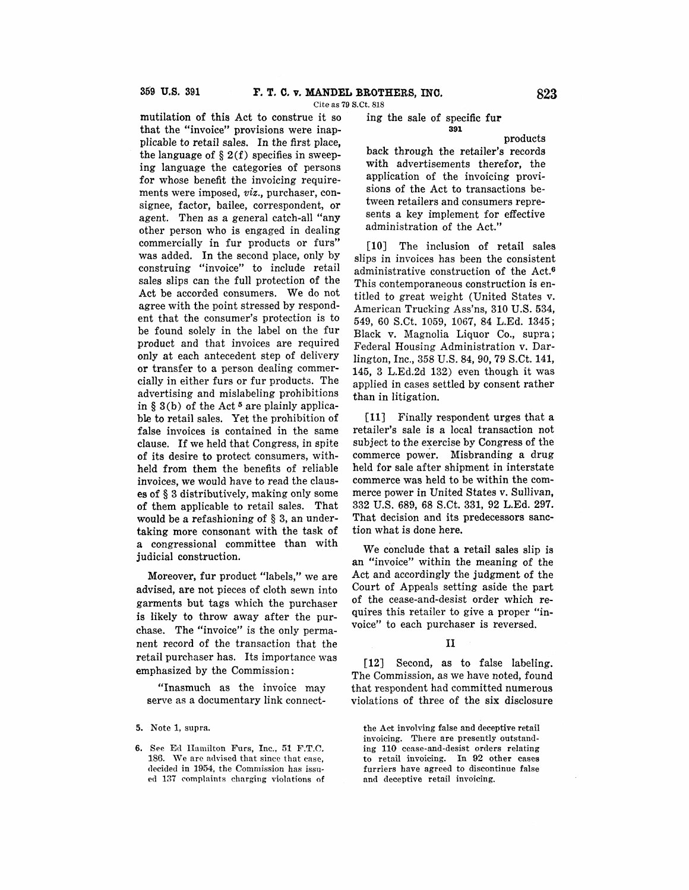Cite as 79 S.Ct. 818

mutilation of this Act to construe it so that the "invoice" provisions were inapplicable to retail sales. In the first place, the language of  $\S 2(f)$  specifies in sweeping language the categories of persons for whose benefit the invoicing requirements were imposed, *viz.,* purchaser, consignee, factor, bailee, correspondent, or agent. Then as a general catch-all "any other person who is engaged in dealing commercially in fur products or furs" was added. In the second place, only by construing "invoice" to include retail sales slips can the full protection of the Act be accorded consumers. We do not agree with the point stressed by respondent that the consumer's protection is to be found solely in the label on the fur product and that invoices are required **only** at each antecedent step of delivery **or** transfer to a person dealing commercially in either furs or fur products. The advertising and mislabeling prohibitions in § 3(b) of the Act<sup>5</sup> are plainly applicable to retail sales. Yet the prohibition of false invoices is contained in the same clause. If we held that Congress, in spite of its desire to protect consumers, withheld from them the benefits of reliable invoices, we would have to read the clauses of § 3 distributively, making only some of them applicable to retail sales. That would be a refashioning of § 3, an undertaking more consonant with the task of a congressional committee than with judicial construction.

Moreover, fur product "labels," we are advised, are not pieces of cloth sewn into garments but tags which the purchaser is likely to throw away after the purchase. The "invoice" is the only permanent record of the transaction that the retail purchaser has. Its importance was emphasized by the Commission:

"Inasmuch as the invoice may serve as a documentary link connect-

**5.** Note 1, supra.

6. See Ed Hamilton Furs, Inc., 51 F.T.C. 186. We are advised that since that case, decided in 1954, the Commission has issued 137 complaints charging violations of ing the sale of specific **fur 391** 

products

back through the retailer's records with advertisements therefor, the application of the invoicing provisions of the Act to transactions between retailers and consumers represents a key implement for effective administration of the Act."

[10] The inclusion of retail sales slips in invoices has been the consistent administrative construction of the Act.<sup>6</sup> This contemporaneous construction is entitled to great weight (United States v. American Trucking Ass'ns, 310 U.S. 534, 549, 60 S.Ct. 1059, 1067, 84 L.Ed. 1345; Black v. Magnolia Liquor Co., supra; Federal Housing Administration v. Darlington, Inc., 358 U.S. 84, 90, 79 S.Ct. 141, 145, 3 L.Ed.2d 132) even though it was applied in cases settled by consent rather than in litigation.

**[11]** Finally respondent urges that a retailer's sale is a local transaction not subject to the exercise by Congress of the commerce power. Misbranding a drug held for sale after shipment in interstate commerce was held to be within the commerce power in United States v. Sullivan, 332 U.S. 689, 68 S.Ct. 331, 92 L.Ed. 297. That decision and its predecessors sanction what is done here.

We conclude that a retail sales slip is an "invoice" within the meaning of the Act and accordingly the judgment of the Court of Appeals setting aside the part of the cease-and-desist order which requires this retailer to give a proper **"in**voice" to each purchaser is reversed.

#### II

**[12]** Second, as to false labeling. The Commission, as we have noted, found that respondent had committed numerous violations of three of the six disclosure

the Act involving false and deceptive retail invoicing. There are presently outstanding 110 cease-and-desist orders relating to retail invoicing. In 92 other cases furriers have agreed to discontinue false and deceptive retail invoicing.